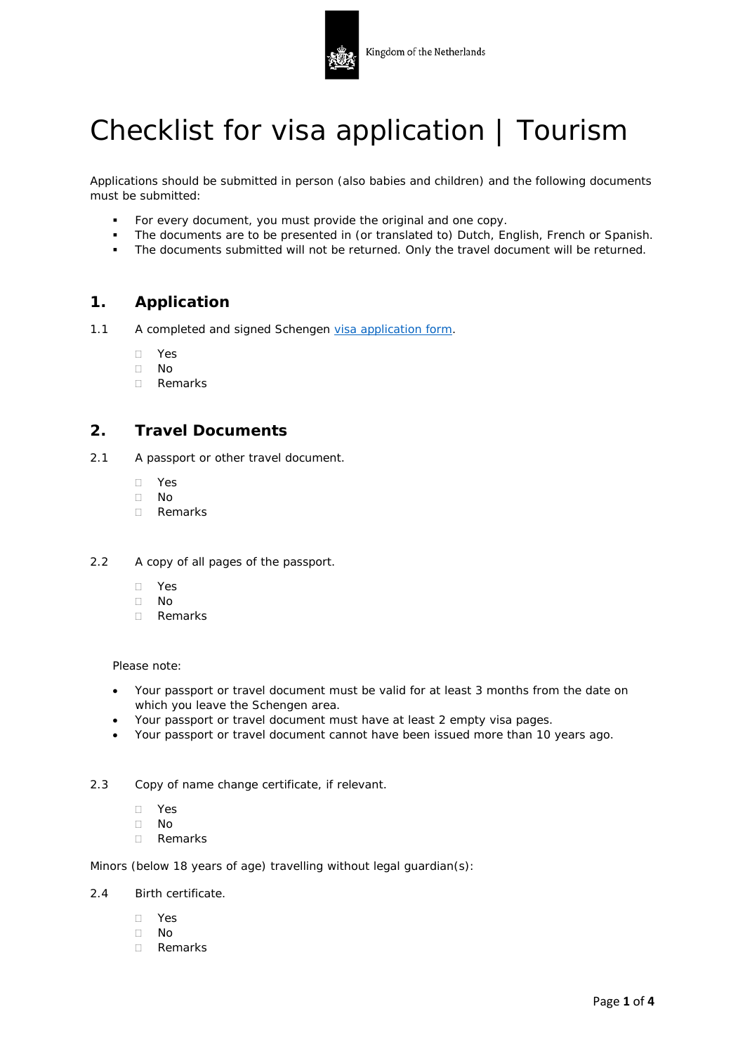

# Checklist for visa application | Tourism

Applications should be submitted in person (also babies and children) and the following documents must be submitted:

- For every document, you must provide the original and one copy.
- The documents are to be presented in (or translated to) Dutch, English, French or Spanish.
- The documents submitted will not be returned. Only the travel document will be returned.

## **1. Application**

- 1.1 A completed and signed Schengen [visa application form.](https://consular.mfaservices.nl/?lang=en)
	- Yes
	- $\Box$  No
	- Remarks

## **2. Travel Documents**

- 2.1 A passport or other travel document.
	- Yes
	- No
	- Remarks
- 2.2 A copy of all pages of the passport.
	- Yes
	- No
	- Remarks

Please note:

- Your passport or travel document must be valid for at least 3 months from the date on which you leave the Schengen area.
- Your passport or travel document must have at least 2 empty visa pages.
- Your passport or travel document cannot have been issued more than 10 years ago.
- 2.3 Copy of name change certificate, if relevant.
	- Yes
	- $\Box$  No
	- Remarks

Minors (below 18 years of age) travelling without legal guardian(s):

- 2.4 Birth certificate.
	- Yes
	- $\neg$  No
	- Remarks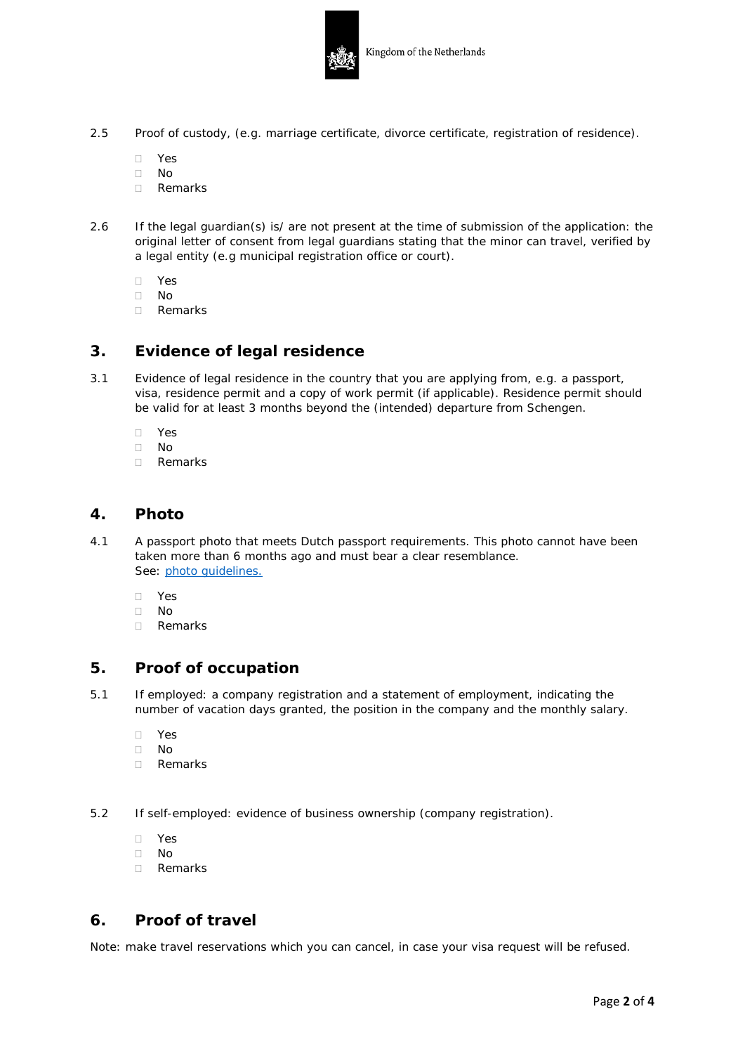

- 2.5 Proof of custody, (e.g. marriage certificate, divorce certificate, registration of residence).
	- Yes
	- $\Box$  No
	- Remarks
- 2.6 If the legal guardian(s) is/ are not present at the time of submission of the application: the original letter of consent from legal guardians stating that the minor can travel, verified by a legal entity (e.g municipal registration office or court).
	- Yes
	- $\Box$  No
	- Remarks

## **3. Evidence of legal residence**

- 3.1 Evidence of legal residence in the country that you are applying from, e.g. a passport, visa, residence permit and a copy of work permit (if applicable). Residence permit should be valid for at least 3 months beyond the (intended) departure from Schengen.
	- Yes
	- $\Box$  No<br> $\Box$  Rer
	- Remarks

## **4. Photo**

- 4.1 A passport photo that meets Dutch passport requirements. This photo cannot have been taken more than 6 months ago and must bear a clear resemblance. See: photo [guidelines.](https://www.government.nl/documents/leaflets/2015/01/21/photomatrix-guidelines-2007)
	- Yes
	- $\neg$  No
	- Remarks

## **5. Proof of occupation**

- 5.1 If employed: a company registration and a statement of employment, indicating the number of vacation days granted, the position in the company and the monthly salary.
	- Yes
	- $\Box$  No
	- Remarks
- 5.2 If self-employed: evidence of business ownership (company registration).
	- Yes
	- No
	- Remarks

## **6. Proof of travel**

Note: make travel reservations which you can cancel, in case your visa request will be refused.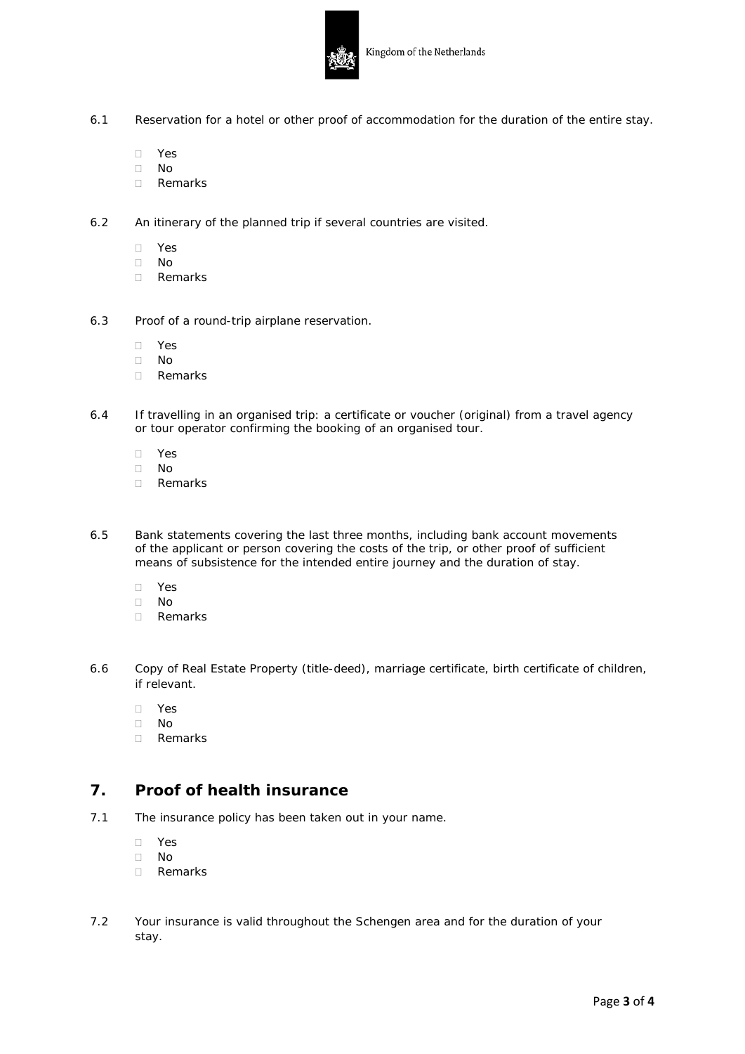

- 6.1 Reservation for a hotel or other proof of accommodation for the duration of the entire stay.
	- Yes
	- No
	- Remarks
- 6.2 An itinerary of the planned trip if several countries are visited.
	- Yes
	- No
	- Remarks
- 6.3 Proof of a round-trip airplane reservation.
	- Yes
	- No
	- Remarks
- 6.4 If travelling in an organised trip: a certificate or voucher (original) from a travel agency or tour operator confirming the booking of an organised tour.
	- Yes
	- $\Box$  No
	- Remarks
- 6.5 Bank statements covering the last three months, including bank account movements of the applicant or person covering the costs of the trip, or other proof of sufficient means of subsistence for the intended entire journey and the duration of stay.
	- Yes
	- $\Box$  No
	- Remarks
- 6.6 Copy of Real Estate Property (title-deed), marriage certificate, birth certificate of children, if relevant.
	- Yes
	- $\Box$  No
	- Remarks

## **7. Proof of health insurance**

- 7.1 The insurance policy has been taken out in your name.
	- Yes
	- No
	- Remarks
- 7.2 Your insurance is valid throughout the Schengen area and for the duration of your stay.